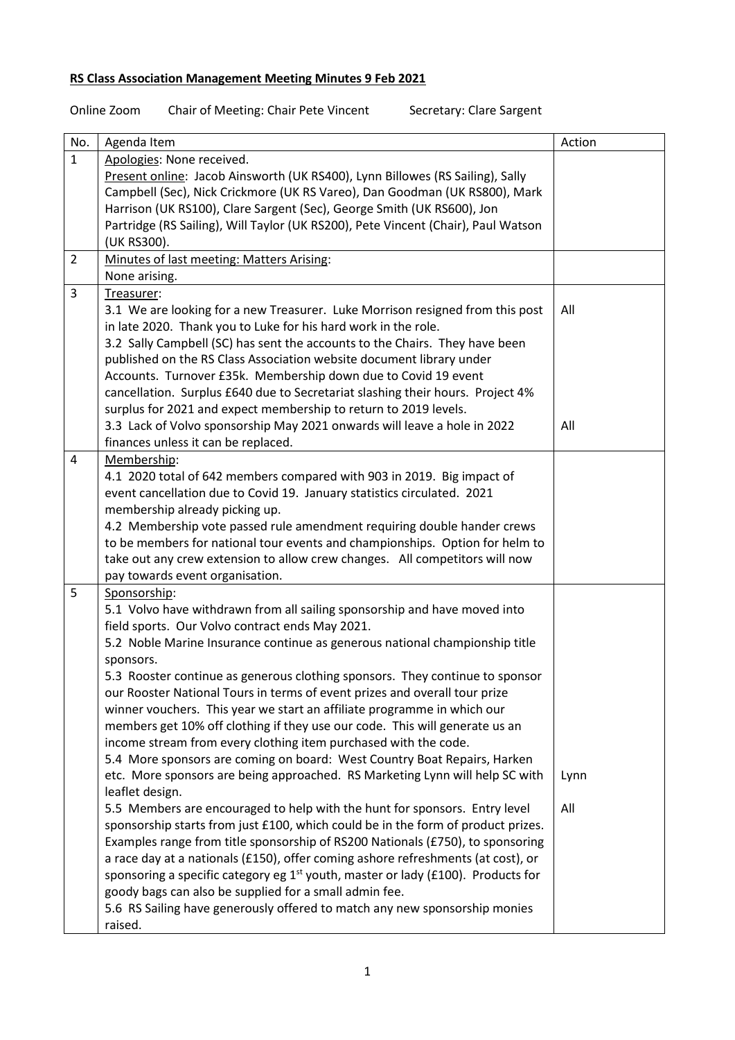## **RS Class Association Management Meeting Minutes 9 Feb 2021**

Online Zoom Chair of Meeting: Chair Pete Vincent Secretary: Clare Sargent

| No.            | Agenda Item                                                                                  | Action |
|----------------|----------------------------------------------------------------------------------------------|--------|
| $\mathbf{1}$   | Apologies: None received.                                                                    |        |
|                | Present online: Jacob Ainsworth (UK RS400), Lynn Billowes (RS Sailing), Sally                |        |
|                | Campbell (Sec), Nick Crickmore (UK RS Vareo), Dan Goodman (UK RS800), Mark                   |        |
|                | Harrison (UK RS100), Clare Sargent (Sec), George Smith (UK RS600), Jon                       |        |
|                | Partridge (RS Sailing), Will Taylor (UK RS200), Pete Vincent (Chair), Paul Watson            |        |
|                | (UK RS300).                                                                                  |        |
| $\overline{2}$ | Minutes of last meeting: Matters Arising:                                                    |        |
|                | None arising.                                                                                |        |
| 3              | Treasurer:                                                                                   |        |
|                | 3.1 We are looking for a new Treasurer. Luke Morrison resigned from this post                | All    |
|                | in late 2020. Thank you to Luke for his hard work in the role.                               |        |
|                | 3.2 Sally Campbell (SC) has sent the accounts to the Chairs. They have been                  |        |
|                | published on the RS Class Association website document library under                         |        |
|                | Accounts. Turnover £35k. Membership down due to Covid 19 event                               |        |
|                | cancellation. Surplus £640 due to Secretariat slashing their hours. Project 4%               |        |
|                | surplus for 2021 and expect membership to return to 2019 levels.                             |        |
|                | 3.3 Lack of Volvo sponsorship May 2021 onwards will leave a hole in 2022                     | All    |
|                | finances unless it can be replaced.                                                          |        |
| 4              | Membership:                                                                                  |        |
|                | 4.1 2020 total of 642 members compared with 903 in 2019. Big impact of                       |        |
|                | event cancellation due to Covid 19. January statistics circulated. 2021                      |        |
|                | membership already picking up.                                                               |        |
|                | 4.2 Membership vote passed rule amendment requiring double hander crews                      |        |
|                | to be members for national tour events and championships. Option for helm to                 |        |
|                | take out any crew extension to allow crew changes. All competitors will now                  |        |
|                | pay towards event organisation.                                                              |        |
| 5              | Sponsorship:<br>5.1 Volvo have withdrawn from all sailing sponsorship and have moved into    |        |
|                | field sports. Our Volvo contract ends May 2021.                                              |        |
|                | 5.2 Noble Marine Insurance continue as generous national championship title                  |        |
|                | sponsors.                                                                                    |        |
|                | 5.3 Rooster continue as generous clothing sponsors. They continue to sponsor                 |        |
|                | our Rooster National Tours in terms of event prizes and overall tour prize                   |        |
|                | winner vouchers. This year we start an affiliate programme in which our                      |        |
|                | members get 10% off clothing if they use our code. This will generate us an                  |        |
|                | income stream from every clothing item purchased with the code.                              |        |
|                | 5.4 More sponsors are coming on board: West Country Boat Repairs, Harken                     |        |
|                | etc. More sponsors are being approached. RS Marketing Lynn will help SC with                 | Lynn   |
|                | leaflet design.                                                                              |        |
|                | 5.5 Members are encouraged to help with the hunt for sponsors. Entry level                   | All    |
|                | sponsorship starts from just £100, which could be in the form of product prizes.             |        |
|                | Examples range from title sponsorship of RS200 Nationals (£750), to sponsoring               |        |
|                | a race day at a nationals (£150), offer coming ashore refreshments (at cost), or             |        |
|                | sponsoring a specific category eg 1 <sup>st</sup> youth, master or lady (£100). Products for |        |
|                | goody bags can also be supplied for a small admin fee.                                       |        |
|                | 5.6 RS Sailing have generously offered to match any new sponsorship monies                   |        |
|                | raised.                                                                                      |        |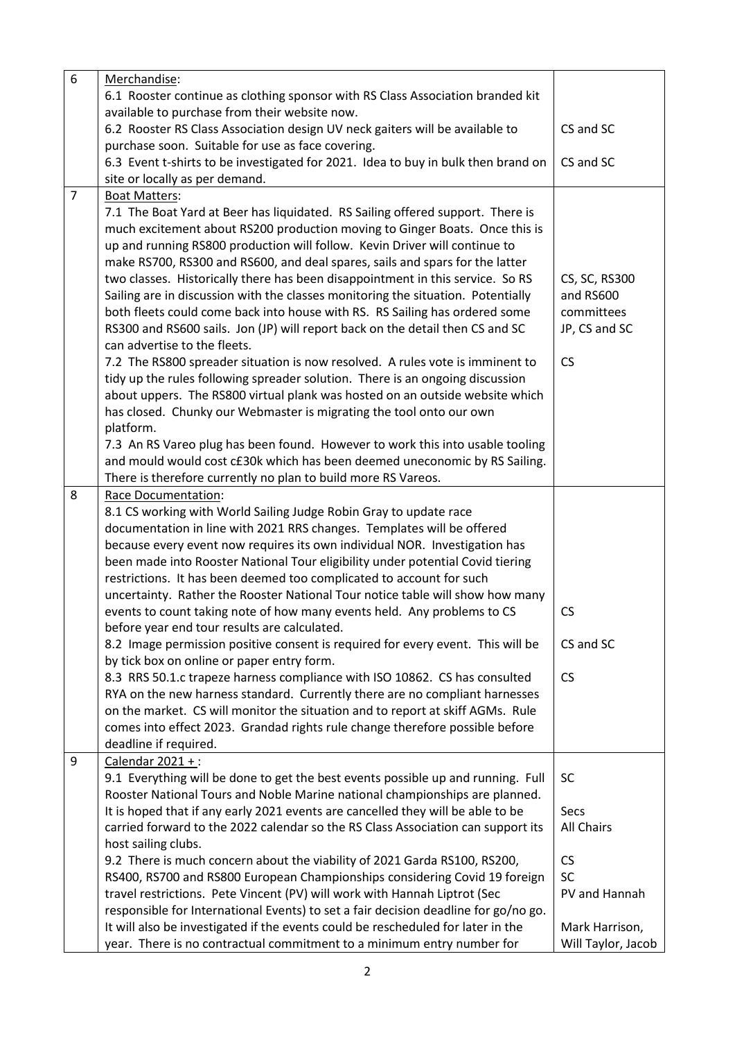| 6              | Merchandise:                                                                        |                    |
|----------------|-------------------------------------------------------------------------------------|--------------------|
|                | 6.1 Rooster continue as clothing sponsor with RS Class Association branded kit      |                    |
|                | available to purchase from their website now.                                       |                    |
|                | 6.2 Rooster RS Class Association design UV neck gaiters will be available to        | CS and SC          |
|                | purchase soon. Suitable for use as face covering.                                   |                    |
|                | 6.3 Event t-shirts to be investigated for 2021. Idea to buy in bulk then brand on   | CS and SC          |
|                | site or locally as per demand.                                                      |                    |
| $\overline{7}$ | <b>Boat Matters:</b>                                                                |                    |
|                | 7.1 The Boat Yard at Beer has liquidated. RS Sailing offered support. There is      |                    |
|                | much excitement about RS200 production moving to Ginger Boats. Once this is         |                    |
|                | up and running RS800 production will follow. Kevin Driver will continue to          |                    |
|                | make RS700, RS300 and RS600, and deal spares, sails and spars for the latter        |                    |
|                | two classes. Historically there has been disappointment in this service. So RS      | CS, SC, RS300      |
|                | Sailing are in discussion with the classes monitoring the situation. Potentially    | and RS600          |
|                | both fleets could come back into house with RS. RS Sailing has ordered some         | committees         |
|                | RS300 and RS600 sails. Jon (JP) will report back on the detail then CS and SC       | JP, CS and SC      |
|                | can advertise to the fleets.                                                        |                    |
|                | 7.2 The RS800 spreader situation is now resolved. A rules vote is imminent to       | <b>CS</b>          |
|                | tidy up the rules following spreader solution. There is an ongoing discussion       |                    |
|                | about uppers. The RS800 virtual plank was hosted on an outside website which        |                    |
|                | has closed. Chunky our Webmaster is migrating the tool onto our own                 |                    |
|                | platform.                                                                           |                    |
|                | 7.3 An RS Vareo plug has been found. However to work this into usable tooling       |                    |
|                | and mould would cost c£30k which has been deemed uneconomic by RS Sailing.          |                    |
|                | There is therefore currently no plan to build more RS Vareos.                       |                    |
| 8              | Race Documentation:                                                                 |                    |
|                | 8.1 CS working with World Sailing Judge Robin Gray to update race                   |                    |
|                | documentation in line with 2021 RRS changes. Templates will be offered              |                    |
|                | because every event now requires its own individual NOR. Investigation has          |                    |
|                | been made into Rooster National Tour eligibility under potential Covid tiering      |                    |
|                | restrictions. It has been deemed too complicated to account for such                |                    |
|                | uncertainty. Rather the Rooster National Tour notice table will show how many       |                    |
|                | events to count taking note of how many events held. Any problems to CS             | <b>CS</b>          |
|                | before year end tour results are calculated.                                        |                    |
|                | 8.2 Image permission positive consent is required for every event. This will be     | CS and SC          |
|                | by tick box on online or paper entry form.                                          |                    |
|                | 8.3 RRS 50.1.c trapeze harness compliance with ISO 10862. CS has consulted          | <b>CS</b>          |
|                | RYA on the new harness standard. Currently there are no compliant harnesses         |                    |
|                | on the market. CS will monitor the situation and to report at skiff AGMs. Rule      |                    |
|                | comes into effect 2023. Grandad rights rule change therefore possible before        |                    |
|                | deadline if required.                                                               |                    |
| 9              | Calendar 2021 +:                                                                    |                    |
|                | 9.1 Everything will be done to get the best events possible up and running. Full    | <b>SC</b>          |
|                | Rooster National Tours and Noble Marine national championships are planned.         |                    |
|                | It is hoped that if any early 2021 events are cancelled they will be able to be     | Secs               |
|                | carried forward to the 2022 calendar so the RS Class Association can support its    | All Chairs         |
|                | host sailing clubs.                                                                 |                    |
|                | 9.2 There is much concern about the viability of 2021 Garda RS100, RS200,           | <b>CS</b>          |
|                | RS400, RS700 and RS800 European Championships considering Covid 19 foreign          | <b>SC</b>          |
|                | travel restrictions. Pete Vincent (PV) will work with Hannah Liptrot (Sec           | PV and Hannah      |
|                | responsible for International Events) to set a fair decision deadline for go/no go. |                    |
|                | It will also be investigated if the events could be rescheduled for later in the    | Mark Harrison,     |
|                | year. There is no contractual commitment to a minimum entry number for              | Will Taylor, Jacob |